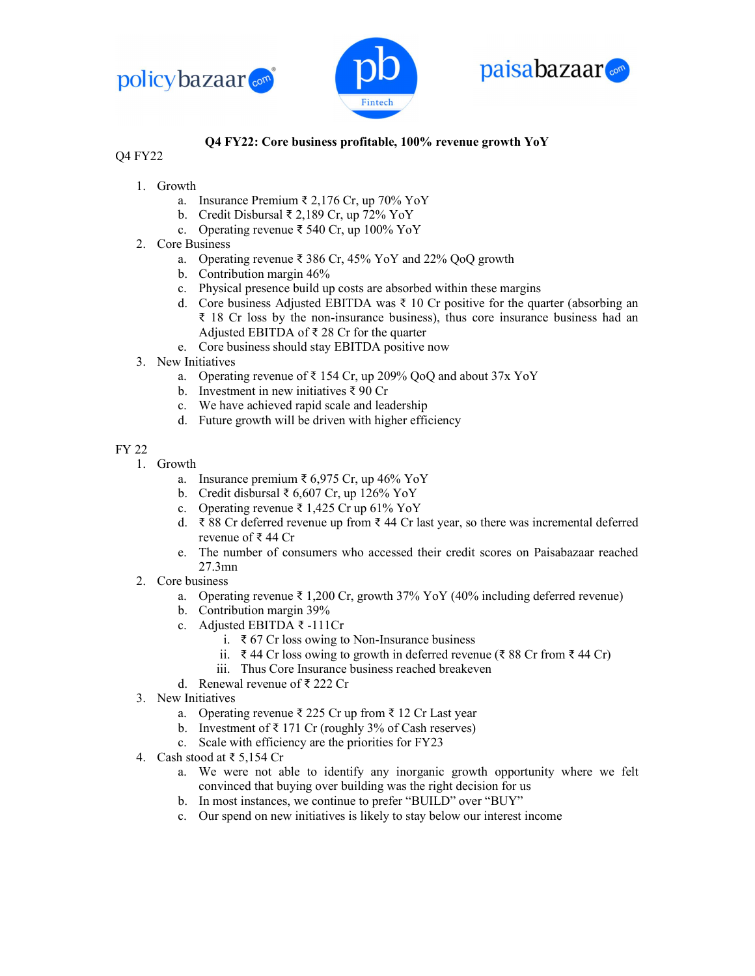





## Q4 FY22: Core business profitable, 100% revenue growth YoY

## Q4 FY22

- 1. Growth
	- a. Insurance Premium ₹ 2,176 Cr, up 70% YoY
	- b. Credit Disbursal ₹ 2,189 Cr, up 72% YoY
	- c. Operating revenue ₹ 540 Cr, up 100% YoY
- 2. Core Business
	- a. Operating revenue ₹ 386 Cr, 45% YoY and 22% QoQ growth
	- b. Contribution margin 46%
	- c. Physical presence build up costs are absorbed within these margins
	- d. Core business Adjusted EBITDA was  $\bar{\tau}$  10 Cr positive for the quarter (absorbing an ₹ 18 Cr loss by the non-insurance business), thus core insurance business had an Adjusted EBITDA of ₹ 28 Cr for the quarter
	- e. Core business should stay EBITDA positive now
- 3. New Initiatives
	- a. Operating revenue of  $\bar{\tau}$  154 Cr, up 209% QoQ and about 37x YoY
	- b. Investment in new initiatives ₹ 90 Cr
	- c. We have achieved rapid scale and leadership
	- d. Future growth will be driven with higher efficiency

## FY 22

- 1. Growth
	- a. Insurance premium ₹ 6,975 Cr, up 46% YoY
	- b. Credit disbursal ₹ 6,607 Cr, up 126% YoY
	- c. Operating revenue ₹ 1,425 Cr up 61% YoY
	- d. ₹ 88 Cr deferred revenue up from ₹ 44 Cr last year, so there was incremental deferred revenue of ₹ 44 Cr
	- e. The number of consumers who accessed their credit scores on Paisabazaar reached 27.3mn
- 2. Core business
	- a. Operating revenue ₹ 1,200 Cr, growth 37% YoY (40% including deferred revenue)
	- b. Contribution margin 39%
	- c. Adjusted EBITDA ₹ -111Cr
		- i. ₹ 67 Cr loss owing to Non-Insurance business
		- ii. ₹ 44 Cr loss owing to growth in deferred revenue (₹ 88 Cr from ₹ 44 Cr)
		- iii. Thus Core Insurance business reached breakeven
	- d. Renewal revenue of ₹ 222 Cr
- 3. New Initiatives
	- a. Operating revenue ₹ 225 Cr up from ₹ 12 Cr Last year
	- b. Investment of  $\bar{\tau}$  171 Cr (roughly 3% of Cash reserves)
	- c. Scale with efficiency are the priorities for FY23
- 4. Cash stood at ₹ 5,154 Cr
	- a. We were not able to identify any inorganic growth opportunity where we felt convinced that buying over building was the right decision for us
	- b. In most instances, we continue to prefer "BUILD" over "BUY"
	- c. Our spend on new initiatives is likely to stay below our interest income